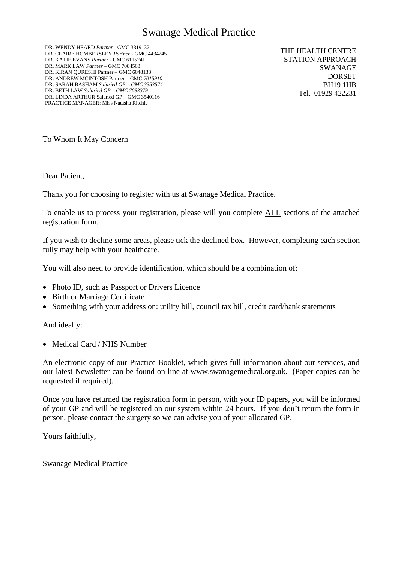# Swanage Medical Practice

DR. WENDY HEARD *Partner* - GMC 3319132 DR. CLAIRE HOMBERSLEY *Partner* - GMC 4434245 DR. KATIE EVANS *Partner* - GMC 6115241 DR. MARK LAW *Partner* – GMC 7084563 DR. KIRAN QURESHI Partner – GMC 6048138 DR. ANDREW MCINTOSH Partner – GMC *7015910* DR. SARAH BASHAM *Salaried GP – GMC 3353574* DR. BETH LAW *Salaried GP – GMC 7083379* DR. LINDA ARTHUR Salaried GP – GMC 3540116 PRACTICE MANAGER: Miss Natasha Ritchie

THE HEALTH CENTRE STATION APPROACH SWANAGE DORSET BH19 1HB Tel. 01929 422231

To Whom It May Concern

Dear Patient,

Thank you for choosing to register with us at Swanage Medical Practice.

To enable us to process your registration, please will you complete ALL sections of the attached registration form.

If you wish to decline some areas, please tick the declined box. However, completing each section fully may help with your healthcare.

You will also need to provide identification, which should be a combination of:

- Photo ID, such as Passport or Drivers Licence
- Birth or Marriage Certificate
- Something with your address on: utility bill, council tax bill, credit card/bank statements

And ideally:

• Medical Card / NHS Number

An electronic copy of our Practice Booklet, which gives full information about our services, and our latest Newsletter can be found on line at [www.swanagemedical.org.uk.](http://www.swanagemedical.org.uk/) (Paper copies can be requested if required).

Once you have returned the registration form in person, with your ID papers, you will be informed of your GP and will be registered on our system within 24 hours. If you don't return the form in person, please contact the surgery so we can advise you of your allocated GP.

Yours faithfully,

Swanage Medical Practice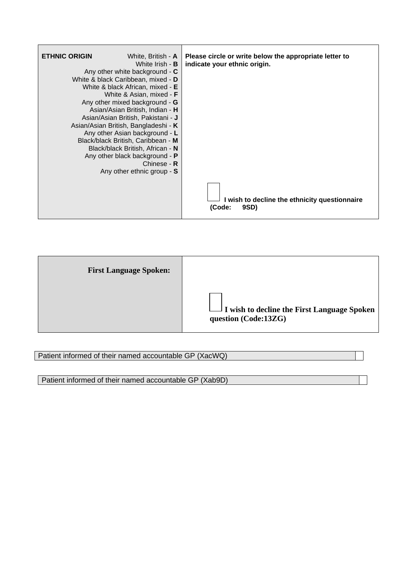| <b>ETHNIC ORIGIN</b> | White, British - A                            | Please circle or write below the appropriate letter to |
|----------------------|-----------------------------------------------|--------------------------------------------------------|
|                      | White Irish - <b>B</b>                        | indicate your ethnic origin.                           |
|                      | Any other white background - C                |                                                        |
|                      | White & black Caribbean, mixed - D            |                                                        |
|                      | White & black African, mixed - E              |                                                        |
|                      | White & Asian, mixed - <b>F</b>               |                                                        |
|                      | Any other mixed background - G                |                                                        |
|                      | Asian/Asian British, Indian - H               |                                                        |
|                      | Asian/Asian British, Pakistani - J            |                                                        |
|                      | Asian/Asian British, Bangladeshi - K          |                                                        |
|                      | Any other Asian background - L                |                                                        |
|                      | Black/black British, Caribbean - M            |                                                        |
|                      | Black/black British, African - N              |                                                        |
|                      | Any other black background - P<br>Chinese - R |                                                        |
|                      | Any other ethnic group - S                    |                                                        |
|                      |                                               |                                                        |
|                      |                                               |                                                        |
|                      |                                               | I wish to decline the ethnicity questionnaire          |
|                      |                                               | 9SD)<br>(Code:                                         |

| <b>First Language Spoken:</b> |                                                                            |
|-------------------------------|----------------------------------------------------------------------------|
|                               | $\Box$ I wish to decline the First Language Spoken<br>question (Code:13ZG) |

# Patient informed of their named accountable GP (XacWQ)

Patient informed of their named accountable GP (Xab9D)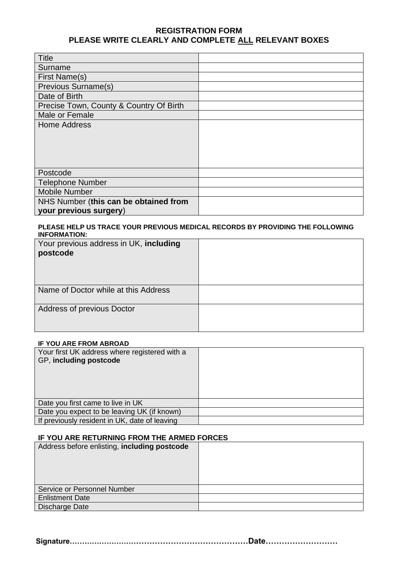# **REGISTRATION FORM PLEASE WRITE CLEARLY AND COMPLETE ALL RELEVANT BOXES**

| <b>Title</b>                            |  |
|-----------------------------------------|--|
| Surname                                 |  |
| First Name(s)                           |  |
| Previous Surname(s)                     |  |
| Date of Birth                           |  |
| Precise Town, County & Country Of Birth |  |
| Male or Female                          |  |
| <b>Home Address</b>                     |  |
|                                         |  |
|                                         |  |
|                                         |  |
|                                         |  |
| Postcode                                |  |
| <b>Telephone Number</b>                 |  |
| <b>Mobile Number</b>                    |  |
| NHS Number (this can be obtained from   |  |
| your previous surgery)                  |  |

#### **PLEASE HELP US TRACE YOUR PREVIOUS MEDICAL RECORDS BY PROVIDING THE FOLLOWING INFORMATION:**

| Your previous address in UK, including<br>postcode |  |
|----------------------------------------------------|--|
| Name of Doctor while at this Address               |  |
| Address of previous Doctor                         |  |

#### **IF YOU ARE FROM ABROAD**

| Your first UK address where registered with a<br>GP, including postcode |  |
|-------------------------------------------------------------------------|--|
| Date you first came to live in UK                                       |  |
| Date you expect to be leaving UK (if known)                             |  |
| If previously resident in UK, date of leaving                           |  |

## **IF YOU ARE RETURNING FROM THE ARMED FORCES**

| Address before enlisting, including postcode |  |
|----------------------------------------------|--|
| Service or Personnel Number                  |  |
| <b>Enlistment Date</b>                       |  |
| Discharge Date                               |  |

**Signature……………………………………………………………Date………………………**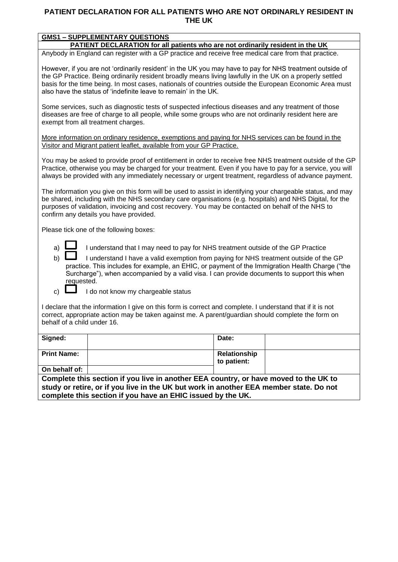### **PATIENT DECLARATION FOR ALL PATIENTS WHO ARE NOT ORDINARLY RESIDENT IN THE UK**

| <b>GMS1 - SUPPLEMENTARY QUESTIONS</b>                                                                                                                                                                                                                                                                                                                                                              |  |  |  |  |
|----------------------------------------------------------------------------------------------------------------------------------------------------------------------------------------------------------------------------------------------------------------------------------------------------------------------------------------------------------------------------------------------------|--|--|--|--|
| PATIENT DECLARATION for all patients who are not ordinarily resident in the UK                                                                                                                                                                                                                                                                                                                     |  |  |  |  |
| Anybody in England can register with a GP practice and receive free medical care from that practice.                                                                                                                                                                                                                                                                                               |  |  |  |  |
| However, if you are not 'ordinarily resident' in the UK you may have to pay for NHS treatment outside of<br>the GP Practice. Being ordinarily resident broadly means living lawfully in the UK on a properly settled<br>basis for the time being. In most cases, nationals of countries outside the European Economic Area must<br>also have the status of 'indefinite leave to remain' in the UK. |  |  |  |  |
| Some services, such as diagnostic tests of suspected infectious diseases and any treatment of those<br>diseases are free of charge to all people, while some groups who are not ordinarily resident here are<br>exempt from all treatment charges.                                                                                                                                                 |  |  |  |  |
| More information on ordinary residence, exemptions and paying for NHS services can be found in the<br>Visitor and Migrant patient leaflet, available from your GP Practice.                                                                                                                                                                                                                        |  |  |  |  |
| You may be asked to provide proof of entitlement in order to receive free NHS treatment outside of the GP<br>Practice, otherwise you may be charged for your treatment. Even if you have to pay for a service, you will<br>always be provided with any immediately necessary or urgent treatment, regardless of advance payment.                                                                   |  |  |  |  |
| The information you give on this form will be used to assist in identifying your chargeable status, and may<br>be shared, including with the NHS secondary care organisations (e.g. hospitals) and NHS Digital, for the<br>purposes of validation, invoicing and cost recovery. You may be contacted on behalf of the NHS to<br>confirm any details you have provided.                             |  |  |  |  |
| Please tick one of the following boxes:                                                                                                                                                                                                                                                                                                                                                            |  |  |  |  |
| I understand that I may need to pay for NHS treatment outside of the GP Practice<br>a)                                                                                                                                                                                                                                                                                                             |  |  |  |  |

b) I understand I have a valid exemption from paying for NHS treatment outside of the GP practice. This includes for example, an EHIC, or payment of the Immigration Health Charge ("the Surcharge"), when accompanied by a valid visa. I can provide documents to support this when requested.

c)  $\Box$  I do not know my chargeable status

I declare that the information I give on this form is correct and complete. I understand that if it is not correct, appropriate action may be taken against me. A parent/guardian should complete the form on behalf of a child under 16.

| Signed:            | Date:                       |  |
|--------------------|-----------------------------|--|
| <b>Print Name:</b> | Relationship<br>to patient: |  |
| On behalf of:      |                             |  |

**Complete this section if you live in another EEA country, or have moved to the UK to study or retire, or if you live in the UK but work in another EEA member state. Do not complete this section if you have an EHIC issued by the UK.**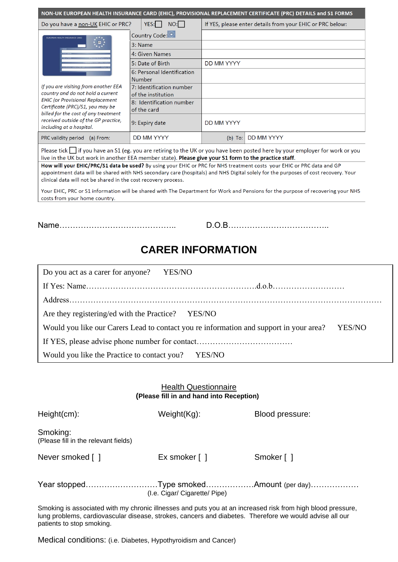| NON-UK EUROPEAN HEALTH INSURANCE CARD (EHIC), PROVISIONAL REPLACEMENT CERTIFICATE (PRC) DETAILS and S1 FORMS                                                                                                                 |  |                            |                                                           |                   |
|------------------------------------------------------------------------------------------------------------------------------------------------------------------------------------------------------------------------------|--|----------------------------|-----------------------------------------------------------|-------------------|
| $NO:$  <br>YES: I<br>Do you have a non-UK EHIC or PRC?                                                                                                                                                                       |  |                            | If YES, please enter details from your EHIC or PRC below: |                   |
| EUROPEAN HEALTH INSURANCE CARD                                                                                                                                                                                               |  | Country Code:              |                                                           |                   |
|                                                                                                                                                                                                                              |  | 3: Name                    |                                                           |                   |
|                                                                                                                                                                                                                              |  | 4: Given Names             |                                                           |                   |
|                                                                                                                                                                                                                              |  | 5: Date of Birth           | <b>DD MM YYYY</b>                                         |                   |
|                                                                                                                                                                                                                              |  | 6: Personal Identification |                                                           |                   |
|                                                                                                                                                                                                                              |  | <b>Number</b>              |                                                           |                   |
| If you are visiting from another EEA                                                                                                                                                                                         |  | 7: Identification number   |                                                           |                   |
| country and do not hold a current<br><b>EHIC</b> (or Provisional Replacement<br>Certificate (PRC)/S1, you may be<br>billed for the cost of any treatment<br>received outside of the GP practice,<br>including at a hospital. |  | of the institution         |                                                           |                   |
|                                                                                                                                                                                                                              |  | 8: Identification number   |                                                           |                   |
|                                                                                                                                                                                                                              |  | of the card                |                                                           |                   |
|                                                                                                                                                                                                                              |  | 9: Expiry date             | <b>DD MM YYYY</b>                                         |                   |
| PRC validity period<br>(a) From:                                                                                                                                                                                             |  | <b>DD MM YYYY</b>          | (b)<br>To:                                                | <b>DD MM YYYY</b> |

Please tick  $\prod$  if you have an S1 (eg. you are retiring to the UK or you have been posted here by your employer for work or you live in the UK but work in another EEA member state). Please give your S1 form to the practice staff.

How will your EHIC/PRC/S1 data be used? By using your EHIC or PRC for NHS treatment costs your EHIC or PRC data and GP appointment data will be shared with NHS secondary care (hospitals) and NHS Digital solely for the purposes of cost recovery. Your clinical data will not be shared in the cost recovery process.

Your EHIC, PRC or S1 information will be shared with The Department for Work and Pensions for the purpose of recovering your NHS costs from your home country.

Name…………………………………….. D.O.B………………………………..

# **CARER INFORMATION**

| Do you act as a carer for anyone? YES/NO                                                         |  |  |  |  |  |
|--------------------------------------------------------------------------------------------------|--|--|--|--|--|
|                                                                                                  |  |  |  |  |  |
|                                                                                                  |  |  |  |  |  |
| Are they registering/ed with the Practice? YES/NO                                                |  |  |  |  |  |
| Would you like our Carers Lead to contact you re information and support in your area?<br>YES/NO |  |  |  |  |  |
|                                                                                                  |  |  |  |  |  |
| Would you like the Practice to contact you? YES/NO                                               |  |  |  |  |  |

# Health Questionnaire **(Please fill in and hand into Reception)**

| Height(cm):                                      | Weight(Kg):                     | Blood pressure: |
|--------------------------------------------------|---------------------------------|-----------------|
| Smoking:<br>(Please fill in the relevant fields) |                                 |                 |
| Never smoked []                                  | Ex smoker $\lceil \cdot \rceil$ | Smoker [ ]      |
|                                                  | (I.e. Cigar/ Cigarette/ Pipe)   |                 |

Smoking is associated with my chronic illnesses and puts you at an increased risk from high blood pressure, lung problems, cardiovascular disease, strokes, cancers and diabetes. Therefore we would advise all our patients to stop smoking.

Medical conditions: (i.e. Diabetes, Hypothyroidism and Cancer)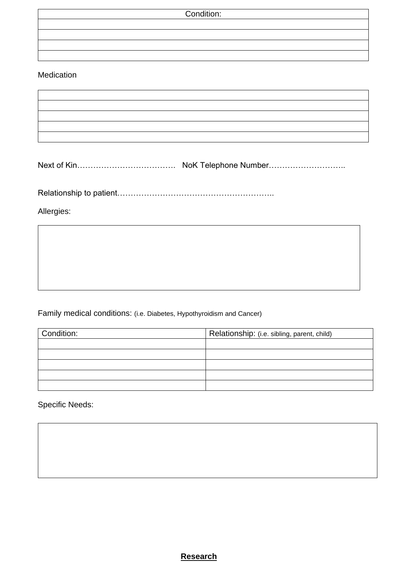| Condition: |  |
|------------|--|
|            |  |
|            |  |
|            |  |
|            |  |

# Medication

Next of Kin………………………………………… NoK Telephone Number…………………………

Relationship to patient…………………………………………………..

Allergies:

Family medical conditions: (i.e. Diabetes, Hypothyroidism and Cancer)

| Condition: | Relationship: (i.e. sibling, parent, child) |  |
|------------|---------------------------------------------|--|
|            |                                             |  |
|            |                                             |  |
|            |                                             |  |
|            |                                             |  |
|            |                                             |  |

Specific Needs:

**Research**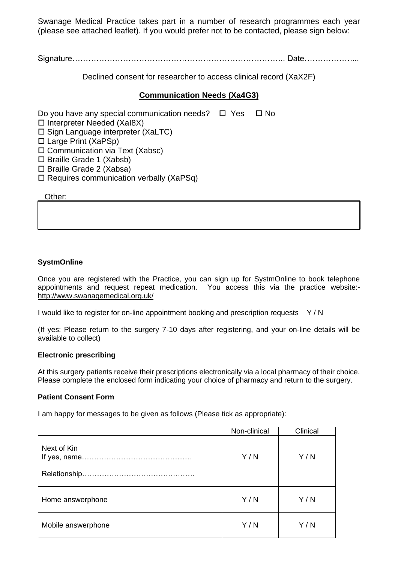Swanage Medical Practice takes part in a number of research programmes each year (please see attached leaflet). If you would prefer not to be contacted, please sign below:

Signature…………………………………………………………………….. Date………………...

Declined consent for researcher to access clinical record (XaX2F)

# **Communication Needs (Xa4G3)**

Do you have any special communication needs?  $\Box$  Yes  $\Box$  No

- $\square$  Interpreter Needed (XaI8X)
- $\square$  Sign Language interpreter (XaLTC)
- Large Print (XaPSp)
- □ Communication via Text (Xabsc)
- $\Box$  Braille Grade 1 (Xabsb)
- $\square$  Braille Grade 2 (Xabsa)
- $\Box$  Requires communication verbally (XaPSq)

Other:

### **SystmOnline**

Once you are registered with the Practice, you can sign up for SystmOnline to book telephone appointments and request repeat medication. You access this via the practice website: <http://www.swanagemedical.org.uk/>

I would like to register for on-line appointment booking and prescription requests Y / N

(If yes: Please return to the surgery 7-10 days after registering, and your on-line details will be available to collect)

#### **Electronic prescribing**

At this surgery patients receive their prescriptions electronically via a local pharmacy of their choice. Please complete the enclosed form indicating your choice of pharmacy and return to the surgery.

### **Patient Consent Form**

I am happy for messages to be given as follows (Please tick as appropriate):

|                    | Non-clinical | Clinical |
|--------------------|--------------|----------|
| Next of Kin        | Y/N          | Y/N      |
| Home answerphone   | Y/N          | Y/N      |
| Mobile answerphone | Y/N          | Y/N      |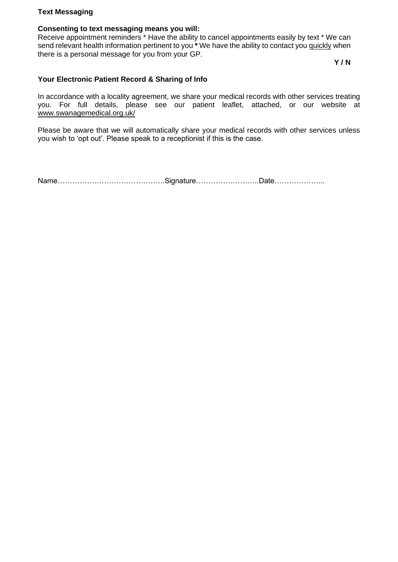### **Text Messaging**

#### **Consenting to text messaging means you will:**

Receive appointment reminders \* Have the ability to cancel appointments easily by text \* We can send relevant health information pertinent to you **\*** We have the ability to contact you quickly when there is a personal message for you from your GP.

**Y / N**

#### **Your Electronic Patient Record & Sharing of Info**

In accordance with a locality agreement, we share your medical records with other services treating you. For full details, please see our patient leaflet, attached, or our website at [www.swanagemedical.org.uk/](http://www.swanagemedical.org.uk/)

Please be aware that we will automatically share your medical records with other services unless you wish to 'opt out'. Please speak to a receptionist if this is the case.

Name……………………………………..Signature……………………..Date………………...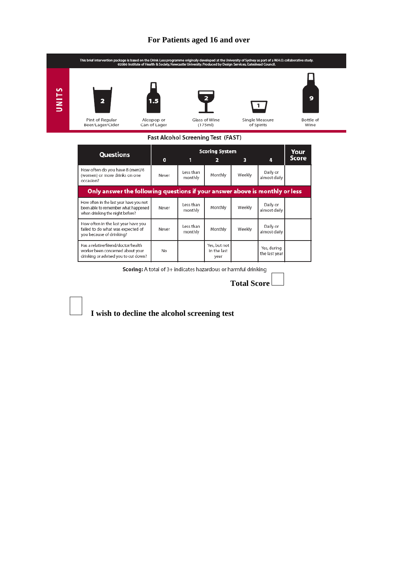#### **For Patients aged 16 and over**



Scoring: A total of 3+ indicates hazardous or harmful drinking

**Total Score**

 **I wish to decline the alcohol screening test**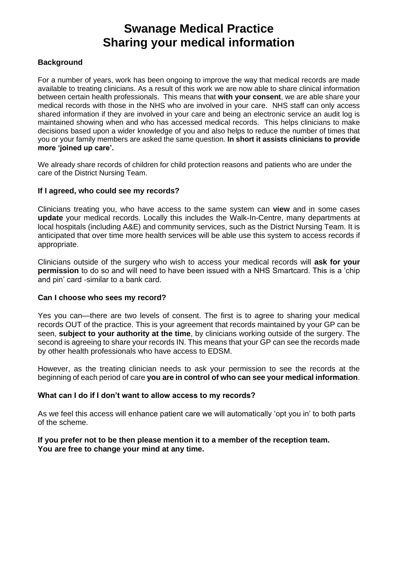# **Swanage Medical Practice Sharing your medical information**

# **Background**

For a number of years, work has been ongoing to improve the way that medical records are made available to treating clinicians. As a result of this work we are now able to share clinical information between certain health professionals. This means that **with your consent**, we are able share your medical records with those in the NHS who are involved in your care. NHS staff can only access shared information if they are involved in your care and being an electronic service an audit log is maintained showing when and who has accessed medical records. This helps clinicians to make decisions based upon a wider knowledge of you and also helps to reduce the number of times that you or your family members are asked the same question. **In short it assists clinicians to provide more 'joined up care'.**

We already share records of children for child protection reasons and patients who are under the care of the District Nursing Team.

### **If I agreed, who could see my records?**

Clinicians treating you, who have access to the same system can **view** and in some cases **update** your medical records. Locally this includes the Walk-In-Centre, many departments at local hospitals (including A&E) and community services, such as the District Nursing Team. It is anticipated that over time more health services will be able use this system to access records if appropriate.

Clinicians outside of the surgery who wish to access your medical records will **ask for your permission** to do so and will need to have been issued with a NHS Smartcard. This is a 'chip and pin' card -similar to a bank card.

### **Can I choose who sees my record?**

Yes you can—there are two levels of consent. The first is to agree to sharing your medical records OUT of the practice. This is your agreement that records maintained by your GP can be seen, **subject to your authority at the time**, by clinicians working outside of the surgery. The second is agreeing to share your records IN. This means that your GP can see the records made by other health professionals who have access to EDSM.

However, as the treating clinician needs to ask your permission to see the records at the beginning of each period of care **you are in control of who can see your medical information**.

### **What can I do if I don't want to allow access to my records?**

As we feel this access will enhance patient care we will automatically 'opt you in' to both parts of the scheme.

### **If you prefer not to be then please mention it to a member of the reception team. You are free to change your mind at any time.**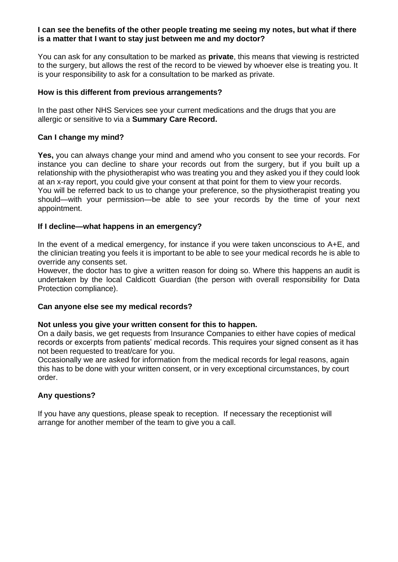#### **I can see the benefits of the other people treating me seeing my notes, but what if there is a matter that I want to stay just between me and my doctor?**

You can ask for any consultation to be marked as **private**, this means that viewing is restricted to the surgery, but allows the rest of the record to be viewed by whoever else is treating you. It is your responsibility to ask for a consultation to be marked as private.

# **How is this different from previous arrangements?**

In the past other NHS Services see your current medications and the drugs that you are allergic or sensitive to via a **Summary Care Record.** 

## **Can I change my mind?**

**Yes,** you can always change your mind and amend who you consent to see your records. For instance you can decline to share your records out from the surgery, but if you built up a relationship with the physiotherapist who was treating you and they asked you if they could look at an x-ray report, you could give your consent at that point for them to view your records.

You will be referred back to us to change your preference, so the physiotherapist treating you should—with your permission—be able to see your records by the time of your next appointment.

## **If I decline—what happens in an emergency?**

In the event of a medical emergency, for instance if you were taken unconscious to A+E, and the clinician treating you feels it is important to be able to see your medical records he is able to override any consents set.

However, the doctor has to give a written reason for doing so. Where this happens an audit is undertaken by the local Caldicott Guardian (the person with overall responsibility for Data Protection compliance).

### **Can anyone else see my medical records?**

### **Not unless you give your written consent for this to happen.**

On a daily basis, we get requests from Insurance Companies to either have copies of medical records or excerpts from patients' medical records. This requires your signed consent as it has not been requested to treat/care for you.

Occasionally we are asked for information from the medical records for legal reasons, again this has to be done with your written consent, or in very exceptional circumstances, by court order.

# **Any questions?**

If you have any questions, please speak to reception. If necessary the receptionist will arrange for another member of the team to give you a call.